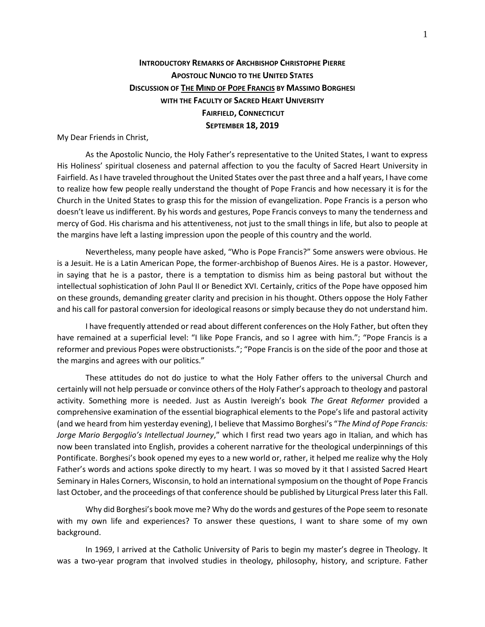## **INTRODUCTORY REMARKS OF ARCHBISHOP CHRISTOPHE PIERRE APOSTOLIC NUNCIO TO THE UNITED STATES DISCUSSION OF THE MIND OF POPE FRANCIS BY MASSIMO BORGHESI WITH THE FACULTY OF SACRED HEART UNIVERSITY FAIRFIELD, CONNECTICUT SEPTEMBER 18, 2019**

My Dear Friends in Christ,

As the Apostolic Nuncio, the Holy Father's representative to the United States, I want to express His Holiness' spiritual closeness and paternal affection to you the faculty of Sacred Heart University in Fairfield. As I have traveled throughout the United States over the past three and a half years, I have come to realize how few people really understand the thought of Pope Francis and how necessary it is for the Church in the United States to grasp this for the mission of evangelization. Pope Francis is a person who doesn't leave us indifferent. By his words and gestures, Pope Francis conveys to many the tenderness and mercy of God. His charisma and his attentiveness, not just to the small things in life, but also to people at the margins have left a lasting impression upon the people of this country and the world.

Nevertheless, many people have asked, "Who is Pope Francis?" Some answers were obvious. He is a Jesuit. He is a Latin American Pope, the former-archbishop of Buenos Aires. He is a pastor. However, in saying that he is a pastor, there is a temptation to dismiss him as being pastoral but without the intellectual sophistication of John Paul II or Benedict XVI. Certainly, critics of the Pope have opposed him on these grounds, demanding greater clarity and precision in his thought. Others oppose the Holy Father and his call for pastoral conversion for ideological reasons or simply because they do not understand him.

I have frequently attended or read about different conferences on the Holy Father, but often they have remained at a superficial level: "I like Pope Francis, and so I agree with him."; "Pope Francis is a reformer and previous Popes were obstructionists."; "Pope Francis is on the side of the poor and those at the margins and agrees with our politics."

These attitudes do not do justice to what the Holy Father offers to the universal Church and certainly will not help persuade or convince others of the Holy Father's approach to theology and pastoral activity. Something more is needed. Just as Austin Ivereigh's book *The Great Reformer* provided a comprehensive examination of the essential biographical elements to the Pope's life and pastoral activity (and we heard from him yesterday evening), I believe that Massimo Borghesi's "*The Mind of Pope Francis: Jorge Mario Bergoglio's Intellectual Journey*," which I first read two years ago in Italian, and which has now been translated into English, provides a coherent narrative for the theological underpinnings of this Pontificate. Borghesi's book opened my eyes to a new world or, rather, it helped me realize why the Holy Father's words and actions spoke directly to my heart. I was so moved by it that I assisted Sacred Heart Seminary in Hales Corners, Wisconsin, to hold an international symposium on the thought of Pope Francis last October, and the proceedings of that conference should be published by Liturgical Press later this Fall.

Why did Borghesi's book move me? Why do the words and gestures of the Pope seem to resonate with my own life and experiences? To answer these questions, I want to share some of my own background.

In 1969, I arrived at the Catholic University of Paris to begin my master's degree in Theology. It was a two-year program that involved studies in theology, philosophy, history, and scripture. Father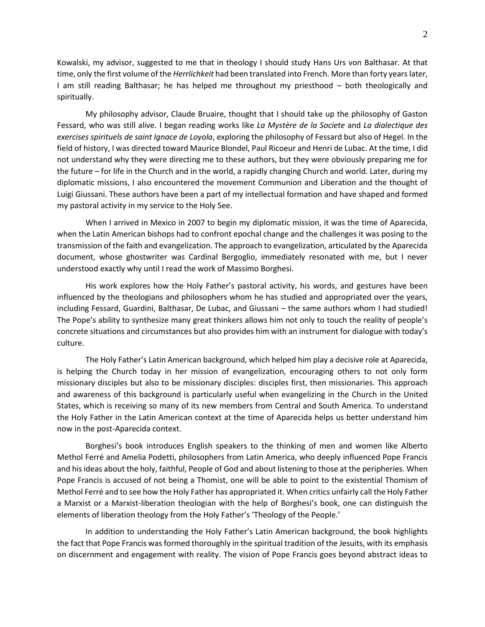Kowalski, my advisor, suggested to me that in theology I should study Hans Urs von Balthasar. At that time, only the first volume of the *Herrlichkeit* had been translated into French. More than forty years later, I am still reading Balthasar; he has helped me throughout my priesthood – both theologically and spiritually.

My philosophy advisor, Claude Bruaire, thought that I should take up the philosophy of Gaston Fessard, who was still alive. I began reading works like *La Mystère de la Societe* and *La dialectique des exercises spirituels de saint Ignace de Loyola*, exploring the philosophy of Fessard but also of Hegel. In the field of history, I was directed toward Maurice Blondel, Paul Ricoeur and Henri de Lubac. At the time, I did not understand why they were directing me to these authors, but they were obviously preparing me for the future – for life in the Church and in the world, a rapidly changing Church and world. Later, during my diplomatic missions, I also encountered the movement Communion and Liberation and the thought of Luigi Giussani. These authors have been a part of my intellectual formation and have shaped and formed my pastoral activity in my service to the Holy See.

When I arrived in Mexico in 2007 to begin my diplomatic mission, it was the time of Aparecida, when the Latin American bishops had to confront epochal change and the challenges it was posing to the transmission of the faith and evangelization. The approach to evangelization, articulated by the Aparecida document, whose ghostwriter was Cardinal Bergoglio, immediately resonated with me, but I never understood exactly why until I read the work of Massimo Borghesi.

His work explores how the Holy Father's pastoral activity, his words, and gestures have been influenced by the theologians and philosophers whom he has studied and appropriated over the years, including Fessard, Guardini, Balthasar, De Lubac, and Giussani – the same authors whom I had studied! The Pope's ability to synthesize many great thinkers allows him not only to touch the reality of people's concrete situations and circumstances but also provides him with an instrument for dialogue with today's culture.

The Holy Father's Latin American background, which helped him play a decisive role at Aparecida, is helping the Church today in her mission of evangelization, encouraging others to not only form missionary disciples but also to be missionary disciples: disciples first, then missionaries. This approach and awareness of this background is particularly useful when evangelizing in the Church in the United States, which is receiving so many of its new members from Central and South America. To understand the Holy Father in the Latin American context at the time of Aparecida helps us better understand him now in the post-Aparecida context.

Borghesi's book introduces English speakers to the thinking of men and women like Alberto Methol Ferré and Amelia Podetti, philosophers from Latin America, who deeply influenced Pope Francis and his ideas about the holy, faithful, People of God and about listening to those at the peripheries. When Pope Francis is accused of not being a Thomist, one will be able to point to the existential Thomism of Methol Ferré and to see how the Holy Father has appropriated it. When critics unfairly call the Holy Father a Marxist or a Marxist-liberation theologian with the help of Borghesi's book, one can distinguish the elements of liberation theology from the Holy Father's 'Theology of the People.'

In addition to understanding the Holy Father's Latin American background, the book highlights the fact that Pope Francis was formed thoroughly in the spiritual tradition of the Jesuits, with its emphasis on discernment and engagement with reality. The vision of Pope Francis goes beyond abstract ideas to